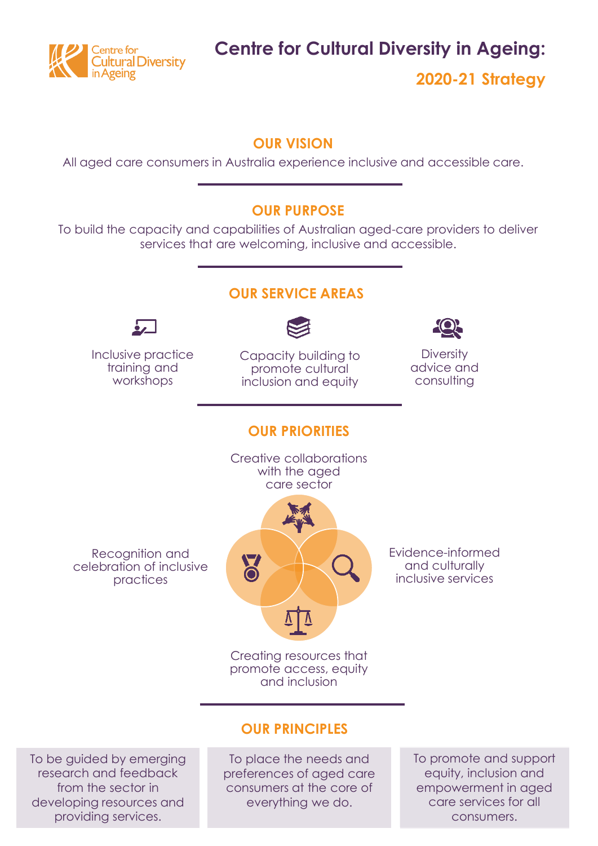

**Centre for Cultural Diversity in Ageing:**

**2020-21 Strategy**

#### **OUR VISION**

All aged care consumers in Australia experience inclusive and accessible care.

#### **OUR PURPOSE**

To build the capacity and capabilities of Australian aged-care providers to deliver services that are welcoming, inclusive and accessible.



#### **OUR PRINCIPLES**

To be guided by emerging research and feedback from the sector in developing resources and providing services.

To place the needs and preferences of aged care consumers at the core of everything we do.

To promote and support equity, inclusion and empowerment in aged care services for all consumers.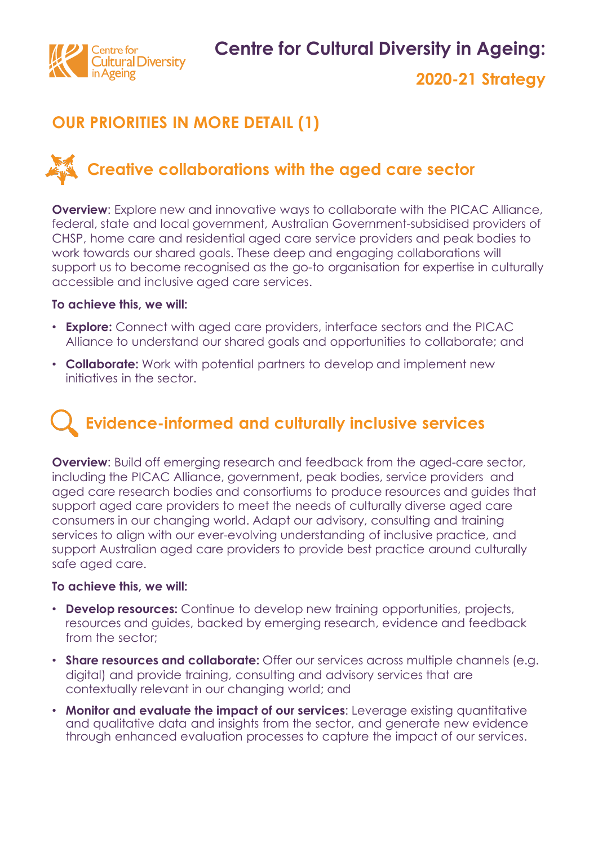

### **OUR PRIORITIES IN MORE DETAIL (1)**

## **Creative collaborations with the aged care sector**

**Overview:** Explore new and innovative ways to collaborate with the PICAC Alliance, federal, state and local government, Australian Government-subsidised providers of CHSP, home care and residential aged care service providers and peak bodies to work towards our shared goals. These deep and engaging collaborations will support us to become recognised as the go-to organisation for expertise in culturally accessible and inclusive aged care services.

#### **To achieve this, we will:**

- **Explore:** Connect with aged care providers, interface sectors and the PICAC Alliance to understand our shared goals and opportunities to collaborate; and
- **Collaborate:** Work with potential partners to develop and implement new initiatives in the sector.

# **Evidence-informed and culturally inclusive services**

**Overview:** Build off emerging research and feedback from the aged-care sector, including the PICAC Alliance, government, peak bodies, service providers and aged care research bodies and consortiums to produce resources and guides that support aged care providers to meet the needs of culturally diverse aged care consumers in our changing world. Adapt our advisory, consulting and training services to align with our ever-evolving understanding of inclusive practice, and support Australian aged care providers to provide best practice around culturally safe aged care.

#### **To achieve this, we will:**

- **Develop resources:** Continue to develop new training opportunities, projects, resources and guides, backed by emerging research, evidence and feedback from the sector;
- **Share resources and collaborate:** Offer our services across multiple channels (e.g. digital) and provide training, consulting and advisory services that are contextually relevant in our changing world; and
- **Monitor and evaluate the impact of our services**: Leverage existing quantitative and qualitative data and insights from the sector, and generate new evidence through enhanced evaluation processes to capture the impact of our services.